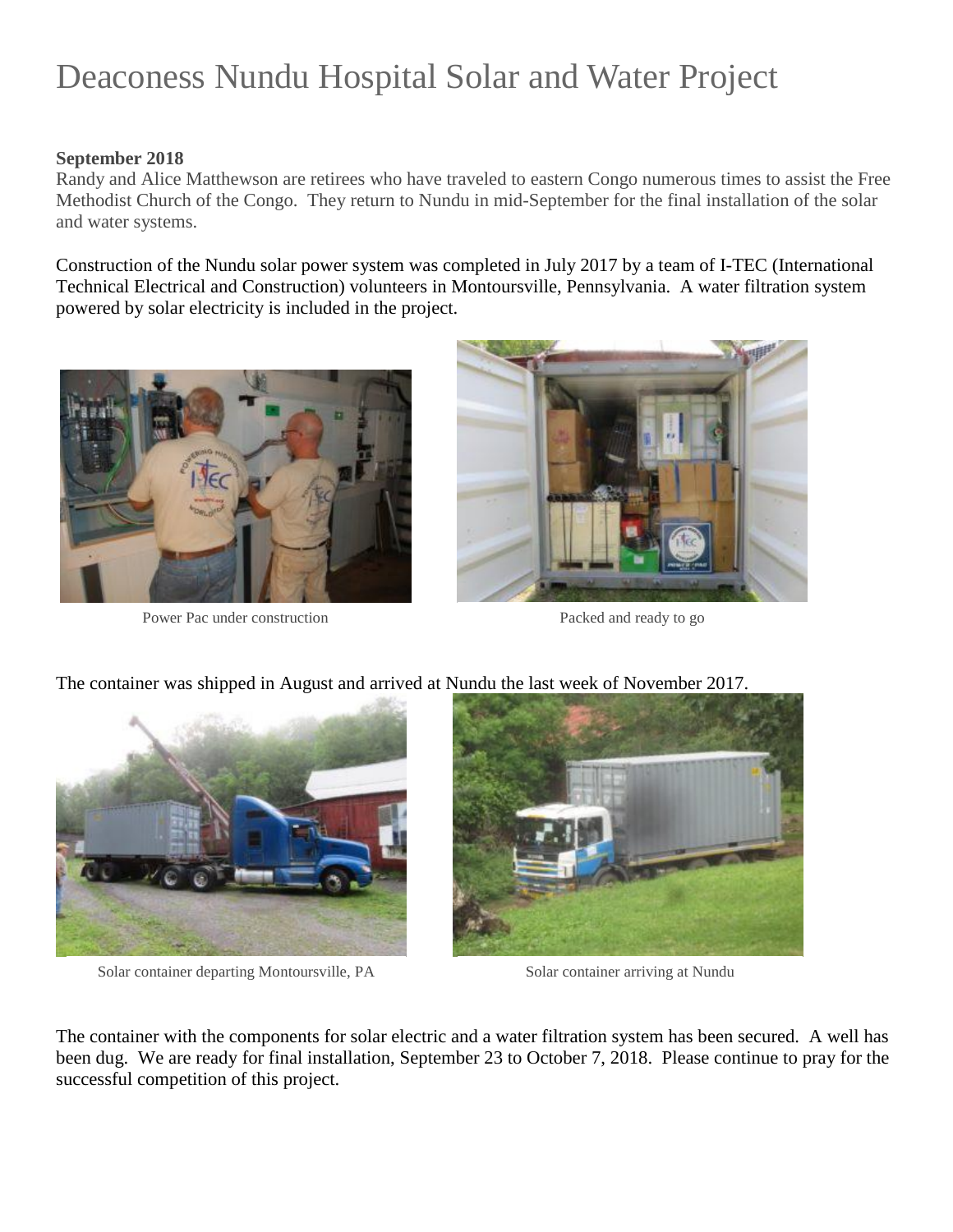# Deaconess Nundu Hospital Solar and Water Project

#### **September 2018**

Randy and Alice Matthewson are retirees who have traveled to eastern Congo numerous times to assist the Free Methodist Church of the Congo. They return to Nundu in mid-September for the final installation of the solar and water systems.

Construction of the Nundu solar power system was completed in July 2017 by a team of I-TEC (International Technical Electrical and Construction) volunteers in Montoursville, Pennsylvania. A water filtration system powered by solar electricity is included in the project.



Power Pac under construction Packed and ready to go





Solar container departing Montoursville, PA Solar container arriving at Nundu



The container with the components for solar electric and a water filtration system has been secured. A well has been dug. We are ready for final installation, September 23 to October 7, 2018. Please continue to pray for the successful competition of this project.

## The container was shipped in August and arrived at Nundu the last week of November 2017.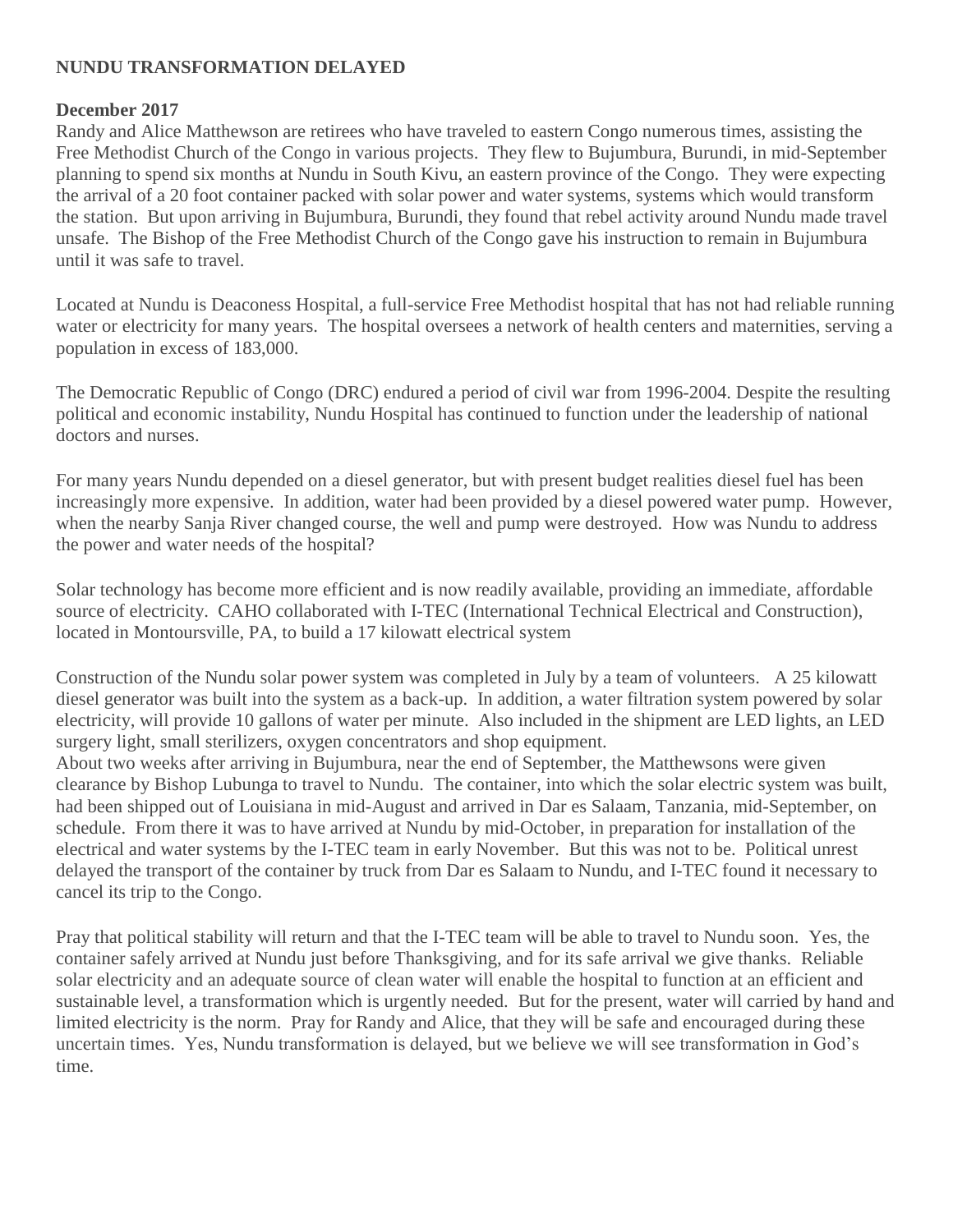## **NUNDU TRANSFORMATION DELAYED**

### **December 2017**

Randy and Alice Matthewson are retirees who have traveled to eastern Congo numerous times, assisting the Free Methodist Church of the Congo in various projects. They flew to Bujumbura, Burundi, in mid-September planning to spend six months at Nundu in South Kivu, an eastern province of the Congo. They were expecting the arrival of a 20 foot container packed with solar power and water systems, systems which would transform the station. But upon arriving in Bujumbura, Burundi, they found that rebel activity around Nundu made travel unsafe. The Bishop of the Free Methodist Church of the Congo gave his instruction to remain in Bujumbura until it was safe to travel.

Located at Nundu is Deaconess Hospital, a full-service Free Methodist hospital that has not had reliable running water or electricity for many years. The hospital oversees a network of health centers and maternities, serving a population in excess of 183,000.

The Democratic Republic of Congo (DRC) endured a period of civil war from 1996-2004. Despite the resulting political and economic instability, Nundu Hospital has continued to function under the leadership of national doctors and nurses.

For many years Nundu depended on a diesel generator, but with present budget realities diesel fuel has been increasingly more expensive. In addition, water had been provided by a diesel powered water pump. However, when the nearby Sanja River changed course, the well and pump were destroyed. How was Nundu to address the power and water needs of the hospital?

Solar technology has become more efficient and is now readily available, providing an immediate, affordable source of electricity. CAHO collaborated with I-TEC (International Technical Electrical and Construction), located in Montoursville, PA, to build a 17 kilowatt electrical system

Construction of the Nundu solar power system was completed in July by a team of volunteers. A 25 kilowatt diesel generator was built into the system as a back-up. In addition, a water filtration system powered by solar electricity, will provide 10 gallons of water per minute. Also included in the shipment are LED lights, an LED surgery light, small sterilizers, oxygen concentrators and shop equipment.

About two weeks after arriving in Bujumbura, near the end of September, the Matthewsons were given clearance by Bishop Lubunga to travel to Nundu. The container, into which the solar electric system was built, had been shipped out of Louisiana in mid-August and arrived in Dar es Salaam, Tanzania, mid-September, on schedule. From there it was to have arrived at Nundu by mid-October, in preparation for installation of the electrical and water systems by the I-TEC team in early November. But this was not to be. Political unrest delayed the transport of the container by truck from Dar es Salaam to Nundu, and I-TEC found it necessary to cancel its trip to the Congo.

Pray that political stability will return and that the I-TEC team will be able to travel to Nundu soon. Yes, the container safely arrived at Nundu just before Thanksgiving, and for its safe arrival we give thanks. Reliable solar electricity and an adequate source of clean water will enable the hospital to function at an efficient and sustainable level, a transformation which is urgently needed. But for the present, water will carried by hand and limited electricity is the norm. Pray for Randy and Alice, that they will be safe and encouraged during these uncertain times. Yes, Nundu transformation is delayed, but we believe we will see transformation in God's time.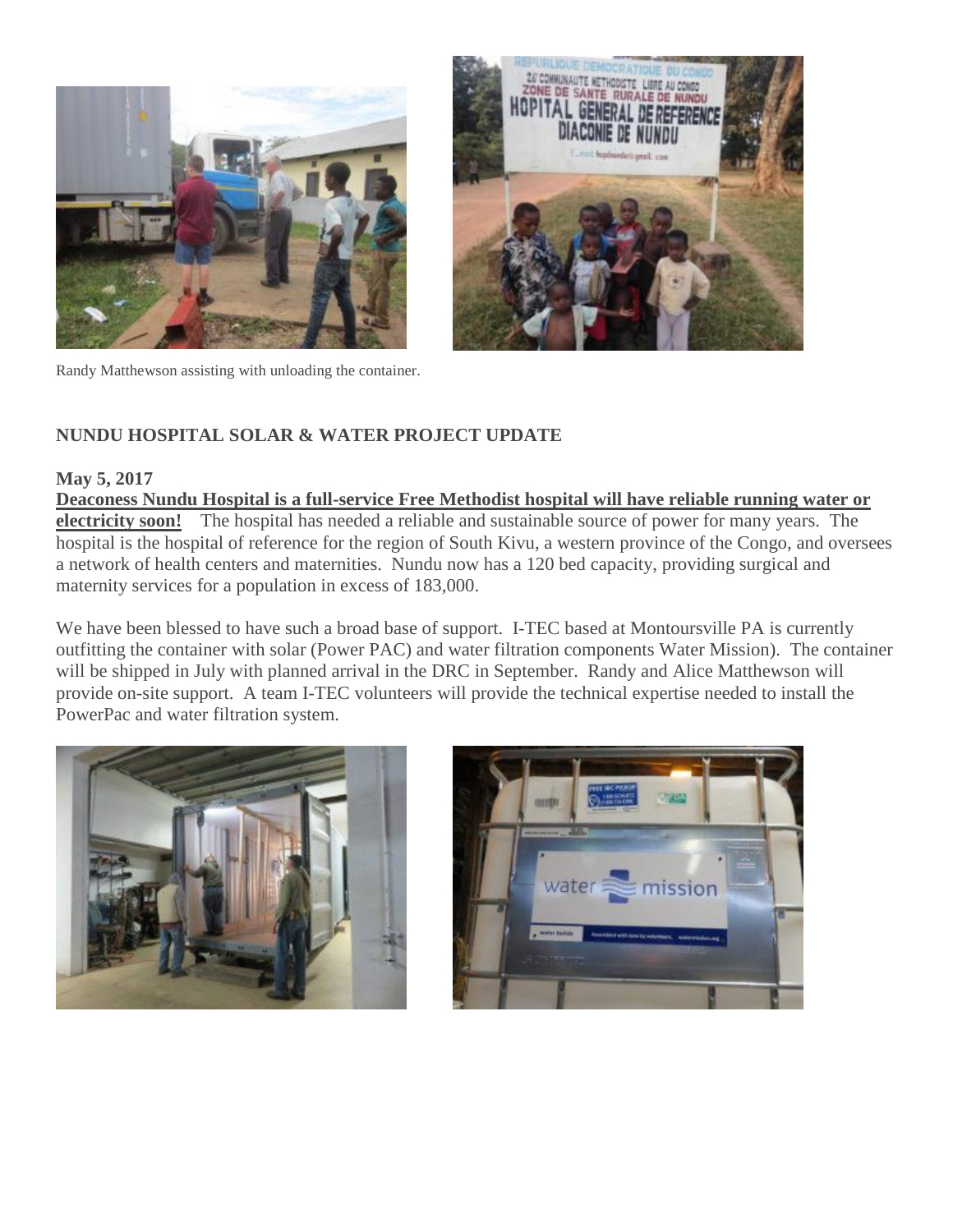





## **NUNDU HOSPITAL SOLAR & WATER PROJECT UPDATE**

### **May 5, 2017**

**Deaconess Nundu Hospital is a full-service Free Methodist hospital will have reliable running water or electricity soon!** The hospital has needed a reliable and sustainable source of power for many years. The hospital is the hospital of reference for the region of South Kivu, a western province of the Congo, and oversees a network of health centers and maternities. Nundu now has a 120 bed capacity, providing surgical and maternity services for a population in excess of 183,000.

We have been blessed to have such a broad base of support. I-TEC based at Montoursville PA is currently outfitting the container with solar (Power PAC) and water filtration components Water Mission). The container will be shipped in July with planned arrival in the DRC in September. Randy and Alice Matthewson will provide on-site support. A team I-TEC volunteers will provide the technical expertise needed to install the PowerPac and water filtration system.